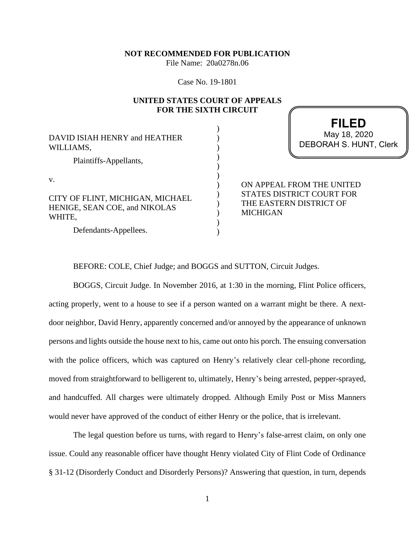### **NOT RECOMMENDED FOR PUBLICATION**

File Name: 20a0278n.06

Case No. 19-1801

## **UNITED STATES COURT OF APPEALS FOR THE SIXTH CIRCUIT**

) ) ) ) ) ) ) ) ) ) ) )

DAVID ISIAH HENRY and HEATHER WILLIAMS,

Plaintiffs-Appellants,

v.

CITY OF FLINT, MICHIGAN, MICHAEL HENIGE, SEAN COE, and NIKOLAS WHITE,

Defendants-Appellees.

**FILED** DEBORAH S. HUNT, Clerk May 18, 2020

ON APPEAL FROM THE UNITED STATES DISTRICT COURT FOR THE EASTERN DISTRICT OF MICHIGAN

BEFORE: COLE, Chief Judge; and BOGGS and SUTTON, Circuit Judges.

BOGGS, Circuit Judge. In November 2016, at 1:30 in the morning, Flint Police officers, acting properly, went to a house to see if a person wanted on a warrant might be there. A nextdoor neighbor, David Henry, apparently concerned and/or annoyed by the appearance of unknown persons and lights outside the house next to his, came out onto his porch. The ensuing conversation with the police officers, which was captured on Henry's relatively clear cell-phone recording, moved from straightforward to belligerent to, ultimately, Henry's being arrested, pepper-sprayed, and handcuffed. All charges were ultimately dropped. Although Emily Post or Miss Manners would never have approved of the conduct of either Henry or the police, that is irrelevant.

The legal question before us turns, with regard to Henry's false-arrest claim, on only one issue. Could any reasonable officer have thought Henry violated City of Flint Code of Ordinance § 31-12 (Disorderly Conduct and Disorderly Persons)? Answering that question, in turn, depends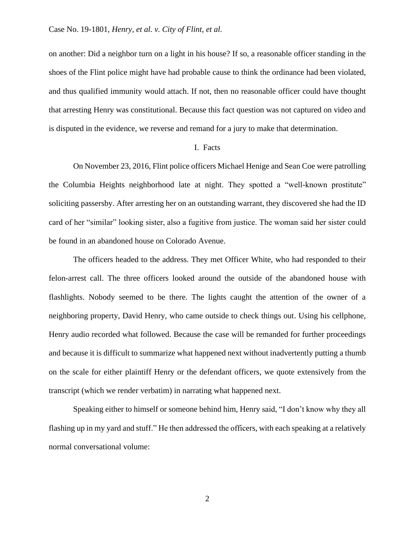on another: Did a neighbor turn on a light in his house? If so, a reasonable officer standing in the shoes of the Flint police might have had probable cause to think the ordinance had been violated, and thus qualified immunity would attach. If not, then no reasonable officer could have thought that arresting Henry was constitutional. Because this fact question was not captured on video and is disputed in the evidence, we reverse and remand for a jury to make that determination.

## I. Facts

On November 23, 2016, Flint police officers Michael Henige and Sean Coe were patrolling the Columbia Heights neighborhood late at night. They spotted a "well-known prostitute" soliciting passersby. After arresting her on an outstanding warrant, they discovered she had the ID card of her "similar" looking sister, also a fugitive from justice. The woman said her sister could be found in an abandoned house on Colorado Avenue.

The officers headed to the address. They met Officer White, who had responded to their felon-arrest call. The three officers looked around the outside of the abandoned house with flashlights. Nobody seemed to be there. The lights caught the attention of the owner of a neighboring property, David Henry, who came outside to check things out. Using his cellphone, Henry audio recorded what followed. Because the case will be remanded for further proceedings and because it is difficult to summarize what happened next without inadvertently putting a thumb on the scale for either plaintiff Henry or the defendant officers, we quote extensively from the transcript (which we render verbatim) in narrating what happened next.

Speaking either to himself or someone behind him, Henry said, "I don't know why they all flashing up in my yard and stuff." He then addressed the officers, with each speaking at a relatively normal conversational volume:

2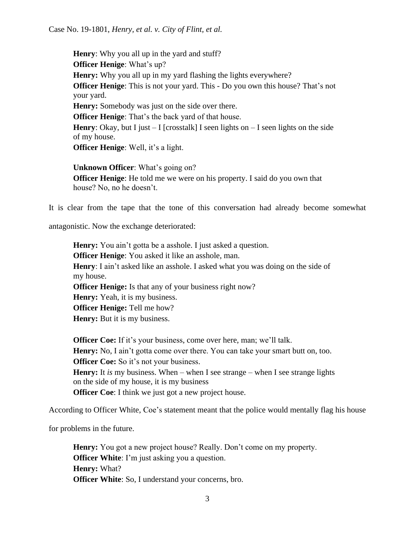**Henry**: Why you all up in the yard and stuff? **Officer Henige**: What's up? **Henry:** Why you all up in my yard flashing the lights everywhere? **Officer Henige**: This is not your yard. This - Do you own this house? That's not your yard. **Henry:** Somebody was just on the side over there. **Officer Henige**: That's the back yard of that house. **Henry**: Okay, but I just  $-$  I [crosstalk] I seen lights on  $-$  I seen lights on the side of my house. **Officer Henige**: Well, it's a light. **Unknown Officer**: What's going on?

**Officer Henige**: He told me we were on his property. I said do you own that house? No, no he doesn't.

It is clear from the tape that the tone of this conversation had already become somewhat

antagonistic. Now the exchange deteriorated:

**Henry:** You ain't gotta be a asshole. I just asked a question. **Officer Henige**: You asked it like an asshole, man. **Henry**: I ain't asked like an asshole. I asked what you was doing on the side of my house. **Officer Henige:** Is that any of your business right now? **Henry:** Yeah, it is my business. **Officer Henige:** Tell me how? **Henry:** But it is my business.

**Officer Coe:** If it's your business, come over here, man; we'll talk. **Henry:** No, I ain't gotta come over there. You can take your smart butt on, too. **Officer Coe:** So it's not your business. **Henry:** It *is* my business. When – when I see strange – when I see strange lights on the side of my house, it is my business **Officer Coe**: I think we just got a new project house.

According to Officer White, Coe's statement meant that the police would mentally flag his house

for problems in the future.

**Henry:** You got a new project house? Really. Don't come on my property. **Officer White**: I'm just asking you a question. **Henry:** What? **Officer White**: So, I understand your concerns, bro.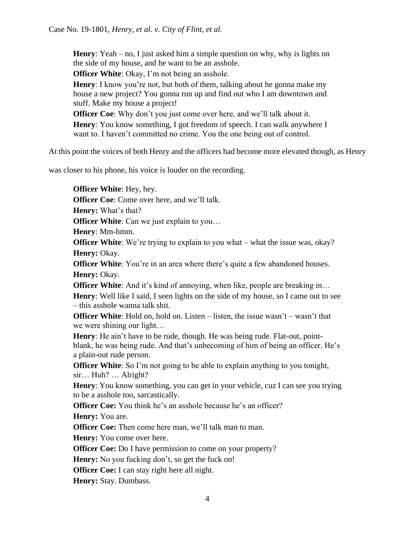**Henry**: Yeah – no, I just asked him a simple question on why, why is lights on the side of my house, and he want to be an asshole.

**Officer White**: Okay, I'm not being an asshole.

**Henry**: I know you're not, but both of them, talking about he gonna make my house a new project? You gonna run up and find out who I am downtown and stuff. Make my house a project!

**Officer Coe**: Why don't you just come over here, and we'll talk about it. **Henry**: You know something, I got freedom of speech. I can walk anywhere I

want to. I haven't committed no crime. You the one being out of control.

At this point the voices of both Henry and the officers had become more elevated though, as Henry

was closer to his phone, his voice is louder on the recording.

**Officer White**: Hey, hey.

**Officer Coe**: Come over here, and we'll talk.

**Henry:** What's that?

**Officer White**: Can we just explain to you...

**Henry**: Mm-hmm.

**Officer White**: We're trying to explain to you what – what the issue was, okay? **Henry: Okay.** 

**Officer White**: You're in an area where there's quite a few abandoned houses. **Henry: Okay.** 

**Officer White**: And it's kind of annoying, when like, people are breaking in...

**Henry:** Well like I said, I seen lights on the side of my house, so I came out to see – this asshole wanna talk shit.

**Officer White**: Hold on, hold on. Listen – listen, the issue wasn't – wasn't that we were shining our light…

**Henry**: He ain't have to be rude, though. He was being rude. Flat-out, pointblank, he was being rude. And that's unbecoming of him of being an officer. He's a plain-out rude person.

**Officer White**: So I'm not going to be able to explain anything to you tonight, sir… Huh? … Alright?

**Henry**: You know something, you can get in your vehicle, cuz I can see you trying to be a asshole too, sarcastically.

**Officer Coe:** You think he's an asshole because he's an officer?

**Henry:** You are.

**Officer Coe:** Then come here man, we'll talk man to man.

**Henry:** You come over here.

**Officer Coe:** Do I have permission to come on your property?

**Henry:** No you fucking don't, so get the fuck on!

**Officer Coe:** I can stay right here all night.

**Henry:** Stay. Dumbass.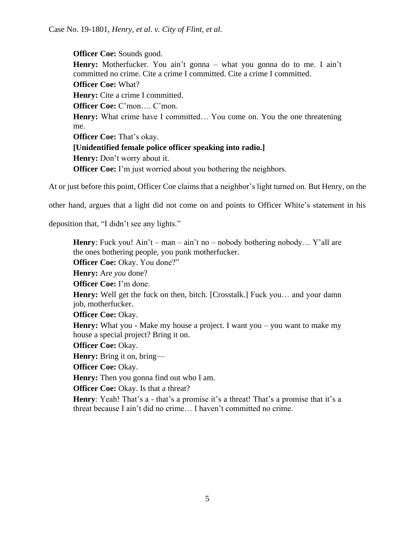**Officer Coe:** Sounds good. Henry: Motherfucker. You ain't gonna – what you gonna do to me. I ain't committed no crime. Cite a crime I committed. Cite a crime I committed. **Officer Coe:** What? **Henry:** Cite a crime I committed. **Officer Coe:** C'mon…. C'mon. **Henry:** What crime have I committed... You come on. You the one threatening me. **Officer Coe:** That's okay. **[Unidentified female police officer speaking into radio.] Henry:** Don't worry about it. **Officer Coe:** I'm just worried about you bothering the neighbors.

At or just before this point, Officer Coe claims that a neighbor's light turned on. But Henry, on the

other hand, argues that a light did not come on and points to Officer White's statement in his

deposition that, "I didn't see any lights."

**Henry**: Fuck you! Ain't – man – ain't no – nobody bothering nobody... Y'all are the ones bothering people, you punk motherfucker. **Officer Coe:** Okay. You done?" **Henry:** Are *you* done? **Officer Coe:** I'm done. **Henry:** Well get the fuck on then, bitch. [Crosstalk.] Fuck you… and your damn job, motherfucker. **Officer Coe:** Okay. **Henry:** What you - Make my house a project. I want you – you want to make my house a special project? Bring it on. **Officer Coe:** Okay. **Henry:** Bring it on, bring— **Officer Coe:** Okay. **Henry:** Then you gonna find out who I am. **Officer Coe:** Okay. Is that a threat? Henry: Yeah! That's a - that's a promise it's a threat! That's a promise that it's a threat because I ain't did no crime… I haven't committed no crime.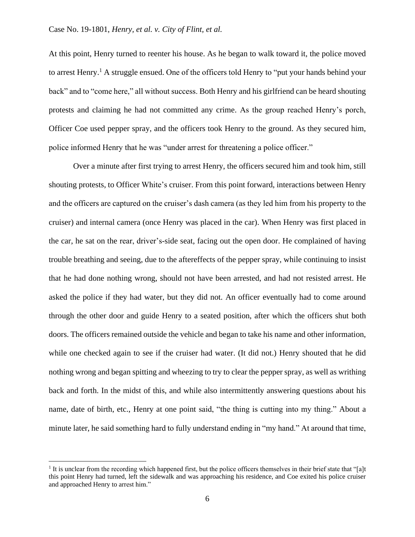At this point, Henry turned to reenter his house. As he began to walk toward it, the police moved to arrest Henry.<sup>1</sup> A struggle ensued. One of the officers told Henry to "put your hands behind your back" and to "come here," all without success. Both Henry and his girlfriend can be heard shouting protests and claiming he had not committed any crime. As the group reached Henry's porch, Officer Coe used pepper spray, and the officers took Henry to the ground. As they secured him, police informed Henry that he was "under arrest for threatening a police officer."

Over a minute after first trying to arrest Henry, the officers secured him and took him, still shouting protests, to Officer White's cruiser. From this point forward, interactions between Henry and the officers are captured on the cruiser's dash camera (as they led him from his property to the cruiser) and internal camera (once Henry was placed in the car). When Henry was first placed in the car, he sat on the rear, driver's-side seat, facing out the open door. He complained of having trouble breathing and seeing, due to the aftereffects of the pepper spray, while continuing to insist that he had done nothing wrong, should not have been arrested, and had not resisted arrest. He asked the police if they had water, but they did not. An officer eventually had to come around through the other door and guide Henry to a seated position, after which the officers shut both doors. The officers remained outside the vehicle and began to take his name and other information, while one checked again to see if the cruiser had water. (It did not.) Henry shouted that he did nothing wrong and began spitting and wheezing to try to clear the pepper spray, as well as writhing back and forth. In the midst of this, and while also intermittently answering questions about his name, date of birth, etc., Henry at one point said, "the thing is cutting into my thing." About a minute later, he said something hard to fully understand ending in "my hand." At around that time,

 $<sup>1</sup>$  It is unclear from the recording which happened first, but the police officers themselves in their brief state that "[a]t</sup> this point Henry had turned, left the sidewalk and was approaching his residence, and Coe exited his police cruiser and approached Henry to arrest him."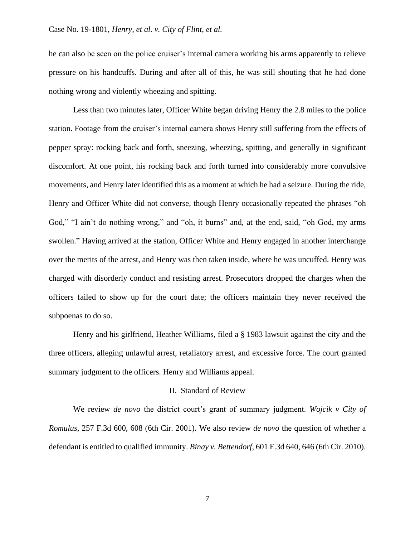he can also be seen on the police cruiser's internal camera working his arms apparently to relieve pressure on his handcuffs. During and after all of this, he was still shouting that he had done nothing wrong and violently wheezing and spitting.

Less than two minutes later, Officer White began driving Henry the 2.8 miles to the police station. Footage from the cruiser's internal camera shows Henry still suffering from the effects of pepper spray: rocking back and forth, sneezing, wheezing, spitting, and generally in significant discomfort. At one point, his rocking back and forth turned into considerably more convulsive movements, and Henry later identified this as a moment at which he had a seizure. During the ride, Henry and Officer White did not converse, though Henry occasionally repeated the phrases "oh God," "I ain't do nothing wrong," and "oh, it burns" and, at the end, said, "oh God, my arms swollen." Having arrived at the station, Officer White and Henry engaged in another interchange over the merits of the arrest, and Henry was then taken inside, where he was uncuffed. Henry was charged with disorderly conduct and resisting arrest. Prosecutors dropped the charges when the officers failed to show up for the court date; the officers maintain they never received the subpoenas to do so.

Henry and his girlfriend, Heather Williams, filed a § 1983 lawsuit against the city and the three officers, alleging unlawful arrest, retaliatory arrest, and excessive force. The court granted summary judgment to the officers. Henry and Williams appeal.

### II. Standard of Review

We review *de novo* the district court's grant of summary judgment. *Wojcik v City of Romulus*, 257 F.3d 600, 608 (6th Cir. 2001). We also review *de novo* the question of whether a defendant is entitled to qualified immunity. *Binay v. Bettendorf*, 601 F.3d 640, 646 (6th Cir. 2010).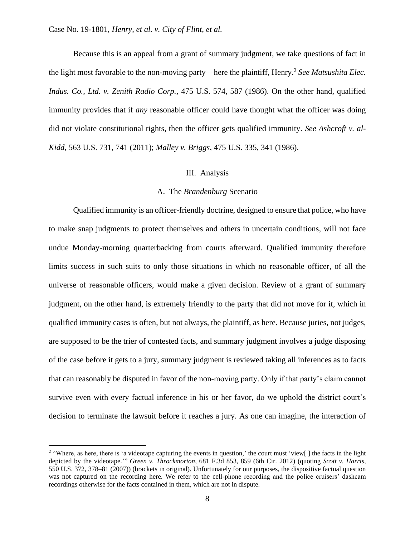Because this is an appeal from a grant of summary judgment, we take questions of fact in the light most favorable to the non-moving party—here the plaintiff, Henry.<sup>2</sup> *See Matsushita Elec. Indus. Co., Ltd. v. Zenith Radio Corp.*, 475 U.S. 574, 587 (1986). On the other hand, qualified immunity provides that if *any* reasonable officer could have thought what the officer was doing did not violate constitutional rights, then the officer gets qualified immunity. *See Ashcroft v. al-Kidd*, 563 U.S. 731, 741 (2011); *Malley v. Briggs*, 475 U.S. 335, 341 (1986).

# III. Analysis

## A. The *Brandenburg* Scenario

Qualified immunity is an officer-friendly doctrine, designed to ensure that police, who have to make snap judgments to protect themselves and others in uncertain conditions, will not face undue Monday-morning quarterbacking from courts afterward. Qualified immunity therefore limits success in such suits to only those situations in which no reasonable officer, of all the universe of reasonable officers, would make a given decision. Review of a grant of summary judgment, on the other hand, is extremely friendly to the party that did not move for it, which in qualified immunity cases is often, but not always, the plaintiff, as here. Because juries, not judges, are supposed to be the trier of contested facts, and summary judgment involves a judge disposing of the case before it gets to a jury, summary judgment is reviewed taking all inferences as to facts that can reasonably be disputed in favor of the non-moving party. Only if that party's claim cannot survive even with every factual inference in his or her favor, do we uphold the district court's decision to terminate the lawsuit before it reaches a jury. As one can imagine, the interaction of

<sup>&</sup>lt;sup>2</sup> "Where, as here, there is 'a videotape capturing the events in question,' the court must 'view[] the facts in the light depicted by the videotape.'" *Green v. Throckmorton*, 681 F.3d 853, 859 (6th Cir. 2012) (quoting *Scott v. Harris*, 550 U.S. 372, 378–81 (2007)) (brackets in original). Unfortunately for our purposes, the dispositive factual question was not captured on the recording here. We refer to the cell-phone recording and the police cruisers' dashcam recordings otherwise for the facts contained in them, which are not in dispute.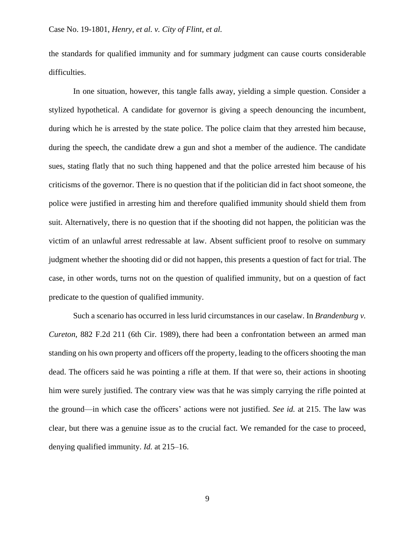the standards for qualified immunity and for summary judgment can cause courts considerable difficulties.

In one situation, however, this tangle falls away, yielding a simple question. Consider a stylized hypothetical. A candidate for governor is giving a speech denouncing the incumbent, during which he is arrested by the state police. The police claim that they arrested him because, during the speech, the candidate drew a gun and shot a member of the audience. The candidate sues, stating flatly that no such thing happened and that the police arrested him because of his criticisms of the governor. There is no question that if the politician did in fact shoot someone, the police were justified in arresting him and therefore qualified immunity should shield them from suit. Alternatively, there is no question that if the shooting did not happen, the politician was the victim of an unlawful arrest redressable at law. Absent sufficient proof to resolve on summary judgment whether the shooting did or did not happen, this presents a question of fact for trial. The case, in other words, turns not on the question of qualified immunity, but on a question of fact predicate to the question of qualified immunity.

Such a scenario has occurred in less lurid circumstances in our caselaw. In *Brandenburg v. Cureton*, 882 F.2d 211 (6th Cir. 1989), there had been a confrontation between an armed man standing on his own property and officers off the property, leading to the officers shooting the man dead. The officers said he was pointing a rifle at them. If that were so, their actions in shooting him were surely justified. The contrary view was that he was simply carrying the rifle pointed at the ground—in which case the officers' actions were not justified. *See id.* at 215. The law was clear, but there was a genuine issue as to the crucial fact. We remanded for the case to proceed, denying qualified immunity. *Id.* at 215–16.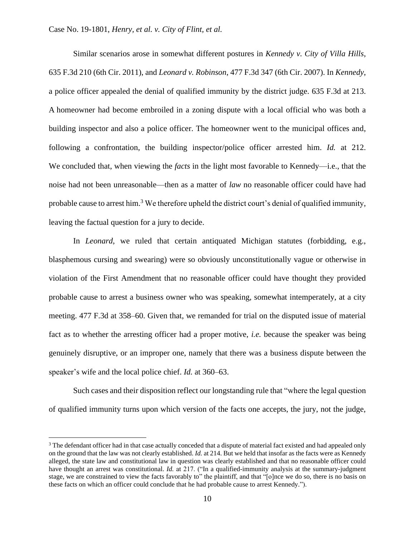Similar scenarios arose in somewhat different postures in *Kennedy v. City of Villa Hills*, 635 F.3d 210 (6th Cir. 2011), and *Leonard v. Robinson*, 477 F.3d 347 (6th Cir. 2007). In *Kennedy*, a police officer appealed the denial of qualified immunity by the district judge. 635 F.3d at 213. A homeowner had become embroiled in a zoning dispute with a local official who was both a building inspector and also a police officer. The homeowner went to the municipal offices and, following a confrontation, the building inspector/police officer arrested him. *Id.* at 212. We concluded that, when viewing the *facts* in the light most favorable to Kennedy—i.e., that the noise had not been unreasonable—then as a matter of *law* no reasonable officer could have had probable cause to arrest him.<sup>3</sup> We therefore upheld the district court's denial of qualified immunity, leaving the factual question for a jury to decide.

In *Leonard*, we ruled that certain antiquated Michigan statutes (forbidding, e.g., blasphemous cursing and swearing) were so obviously unconstitutionally vague or otherwise in violation of the First Amendment that no reasonable officer could have thought they provided probable cause to arrest a business owner who was speaking, somewhat intemperately, at a city meeting. 477 F.3d at 358–60. Given that, we remanded for trial on the disputed issue of material fact as to whether the arresting officer had a proper motive, *i.e.* because the speaker was being genuinely disruptive, or an improper one, namely that there was a business dispute between the speaker's wife and the local police chief. *Id.* at 360–63.

Such cases and their disposition reflect our longstanding rule that "where the legal question of qualified immunity turns upon which version of the facts one accepts, the jury, not the judge,

<sup>&</sup>lt;sup>3</sup> The defendant officer had in that case actually conceded that a dispute of material fact existed and had appealed only on the ground that the law was not clearly established. *Id.* at 214. But we held that insofar as the facts were as Kennedy alleged, the state law and constitutional law in question was clearly established and that no reasonable officer could have thought an arrest was constitutional. *Id.* at 217. ("In a qualified-immunity analysis at the summary-judgment stage, we are constrained to view the facts favorably to" the plaintiff, and that "[o]nce we do so, there is no basis on these facts on which an officer could conclude that he had probable cause to arrest Kennedy.").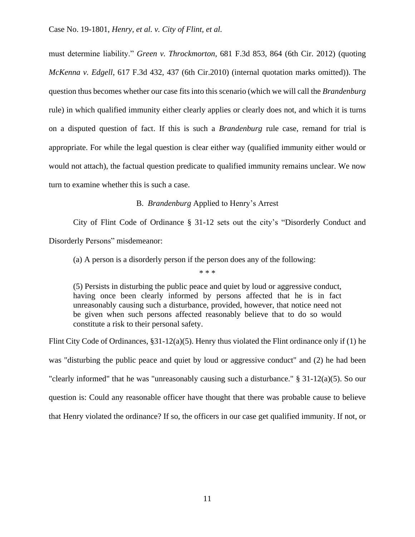must determine liability." *Green v. Throckmorton*, 681 F.3d 853, 864 (6th Cir. 2012) (quoting *McKenna v. Edgell*, 617 F.3d 432, 437 (6th Cir.2010) (internal quotation marks omitted)). The question thus becomes whether our case fits into this scenario (which we will call the *Brandenburg*  rule) in which qualified immunity either clearly applies or clearly does not, and which it is turns on a disputed question of fact. If this is such a *Brandenburg* rule case, remand for trial is appropriate. For while the legal question is clear either way (qualified immunity either would or would not attach), the factual question predicate to qualified immunity remains unclear. We now turn to examine whether this is such a case.

B. *Brandenburg* Applied to Henry's Arrest

City of Flint Code of Ordinance § 31-12 sets out the city's "Disorderly Conduct and Disorderly Persons" misdemeanor:

(a) A person is a disorderly person if the person does any of the following:

\* \* \*

(5) Persists in disturbing the public peace and quiet by loud or aggressive conduct, having once been clearly informed by persons affected that he is in fact unreasonably causing such a disturbance, provided, however, that notice need not be given when such persons affected reasonably believe that to do so would constitute a risk to their personal safety.

Flint City Code of Ordinances, §31-12(a)(5). Henry thus violated the Flint ordinance only if (1) he was "disturbing the public peace and quiet by loud or aggressive conduct" and (2) he had been "clearly informed" that he was "unreasonably causing such a disturbance." § 31-12(a)(5). So our question is: Could any reasonable officer have thought that there was probable cause to believe that Henry violated the ordinance? If so, the officers in our case get qualified immunity. If not, or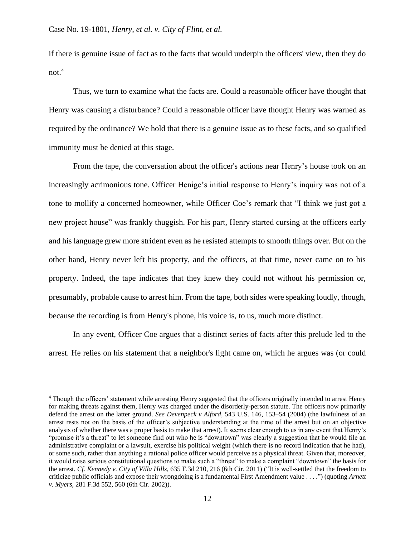if there is genuine issue of fact as to the facts that would underpin the officers' view, then they do  $not.<sup>4</sup>$ 

Thus, we turn to examine what the facts are. Could a reasonable officer have thought that Henry was causing a disturbance? Could a reasonable officer have thought Henry was warned as required by the ordinance? We hold that there is a genuine issue as to these facts, and so qualified immunity must be denied at this stage.

From the tape, the conversation about the officer's actions near Henry's house took on an increasingly acrimonious tone. Officer Henige's initial response to Henry's inquiry was not of a tone to mollify a concerned homeowner, while Officer Coe's remark that "I think we just got a new project house" was frankly thuggish. For his part, Henry started cursing at the officers early and his language grew more strident even as he resisted attempts to smooth things over. But on the other hand, Henry never left his property, and the officers, at that time, never came on to his property. Indeed, the tape indicates that they knew they could not without his permission or, presumably, probable cause to arrest him. From the tape, both sides were speaking loudly, though, because the recording is from Henry's phone, his voice is, to us, much more distinct.

In any event, Officer Coe argues that a distinct series of facts after this prelude led to the arrest. He relies on his statement that a neighbor's light came on, which he argues was (or could

<sup>4</sup> Though the officers' statement while arresting Henry suggested that the officers originally intended to arrest Henry for making threats against them, Henry was charged under the disorderly-person statute. The officers now primarily defend the arrest on the latter ground. *See Devenpeck v Alford*, 543 U.S. 146, 153–54 (2004) (the lawfulness of an arrest rests not on the basis of the officer's subjective understanding at the time of the arrest but on an objective analysis of whether there was a proper basis to make that arrest). It seems clear enough to us in any event that Henry's "promise it's a threat" to let someone find out who he is "downtown" was clearly a suggestion that he would file an administrative complaint or a lawsuit, exercise his political weight (which there is no record indication that he had), or some such, rather than anything a rational police officer would perceive as a physical threat. Given that, moreover, it would raise serious constitutional questions to make such a "threat" to make a complaint "downtown" the basis for the arrest. *Cf. Kennedy v. City of Villa Hills*, 635 F.3d 210, 216 (6th Cir. 2011) ("It is well-settled that the freedom to criticize public officials and expose their wrongdoing is a fundamental First Amendment value . . . .") (quoting *Arnett v. Myers*, 281 F.3d 552, 560 (6th Cir. 2002)).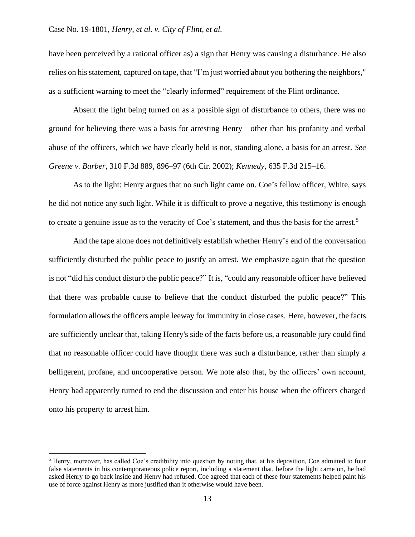have been perceived by a rational officer as) a sign that Henry was causing a disturbance. He also relies on his statement, captured on tape, that "I'm just worried about you bothering the neighbors," as a sufficient warning to meet the "clearly informed" requirement of the Flint ordinance.

Absent the light being turned on as a possible sign of disturbance to others, there was no ground for believing there was a basis for arresting Henry—other than his profanity and verbal abuse of the officers, which we have clearly held is not, standing alone, a basis for an arrest. *See Greene v. Barber*, 310 F.3d 889, 896–97 (6th Cir. 2002); *Kennedy*, 635 F.3d 215–16.

As to the light: Henry argues that no such light came on. Coe's fellow officer, White, says he did not notice any such light. While it is difficult to prove a negative, this testimony is enough to create a genuine issue as to the veracity of Coe's statement, and thus the basis for the arrest.<sup>5</sup>

And the tape alone does not definitively establish whether Henry's end of the conversation sufficiently disturbed the public peace to justify an arrest. We emphasize again that the question is not "did his conduct disturb the public peace?" It is, "could any reasonable officer have believed that there was probable cause to believe that the conduct disturbed the public peace?" This formulation allows the officers ample leeway for immunity in close cases. Here, however, the facts are sufficiently unclear that, taking Henry's side of the facts before us, a reasonable jury could find that no reasonable officer could have thought there was such a disturbance, rather than simply a belligerent, profane, and uncooperative person. We note also that, by the officers' own account, Henry had apparently turned to end the discussion and enter his house when the officers charged onto his property to arrest him.

<sup>5</sup> Henry, moreover, has called Coe's credibility into question by noting that, at his deposition, Coe admitted to four false statements in his contemporaneous police report, including a statement that, before the light came on, he had asked Henry to go back inside and Henry had refused. Coe agreed that each of these four statements helped paint his use of force against Henry as more justified than it otherwise would have been.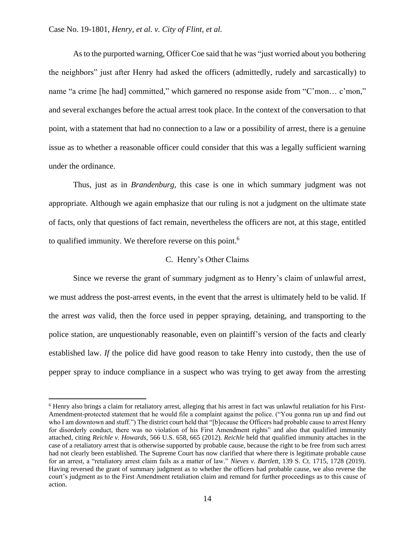As to the purported warning, Officer Coe said that he was "just worried about you bothering the neighbors" just after Henry had asked the officers (admittedly, rudely and sarcastically) to name "a crime [he had] committed," which garnered no response aside from "C'mon... c'mon," and several exchanges before the actual arrest took place. In the context of the conversation to that point, with a statement that had no connection to a law or a possibility of arrest, there is a genuine issue as to whether a reasonable officer could consider that this was a legally sufficient warning under the ordinance.

Thus, just as in *Brandenburg*, this case is one in which summary judgment was not appropriate. Although we again emphasize that our ruling is not a judgment on the ultimate state of facts, only that questions of fact remain, nevertheless the officers are not, at this stage, entitled to qualified immunity. We therefore reverse on this point.<sup>6</sup>

## C. Henry's Other Claims

Since we reverse the grant of summary judgment as to Henry's claim of unlawful arrest, we must address the post-arrest events, in the event that the arrest is ultimately held to be valid. If the arrest *was* valid, then the force used in pepper spraying, detaining, and transporting to the police station, are unquestionably reasonable, even on plaintiff's version of the facts and clearly established law. *If* the police did have good reason to take Henry into custody, then the use of pepper spray to induce compliance in a suspect who was trying to get away from the arresting

<sup>6</sup> Henry also brings a claim for retaliatory arrest, alleging that his arrest in fact was unlawful retaliation for his First-Amendment-protected statement that he would file a complaint against the police. ("You gonna run up and find out who I am downtown and stuff.") The district court held that "[b]ecause the Officers had probable cause to arrest Henry for disorderly conduct, there was no violation of his First Amendment rights" and also that qualified immunity attached, citing *Reichle v. Howards*, 566 U.S. 658, 665 (2012). *Reichle* held that qualified immunity attaches in the case of a retaliatory arrest that is otherwise supported by probable cause, because the right to be free from such arrest had not clearly been established. The Supreme Court has now clarified that where there is legitimate probable cause for an arrest, a "retaliatory arrest claim fails as a matter of law." *Nieves v. Bartlett*, 139 S. Ct. 1715, 1728 (2019). Having reversed the grant of summary judgment as to whether the officers had probable cause, we also reverse the court's judgment as to the First Amendment retaliation claim and remand for further proceedings as to this cause of action.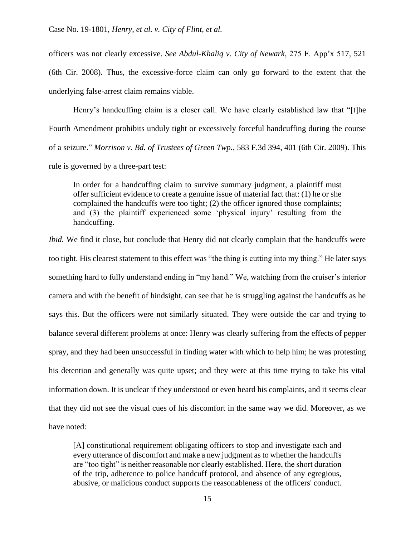officers was not clearly excessive. *See Abdul-Khaliq v. City of Newark*, 275 F. App'x 517, 521 (6th Cir. 2008). Thus, the excessive-force claim can only go forward to the extent that the underlying false-arrest claim remains viable.

Henry's handcuffing claim is a closer call. We have clearly established law that "[t]he Fourth Amendment prohibits unduly tight or excessively forceful handcuffing during the course of a seizure." *Morrison v. Bd. of Trustees of Green Twp.*, 583 F.3d 394, 401 (6th Cir. 2009). This rule is governed by a three-part test:

In order for a handcuffing claim to survive summary judgment, a plaintiff must offer sufficient evidence to create a genuine issue of material fact that: (1) he or she complained the handcuffs were too tight; (2) the officer ignored those complaints; and (3) the plaintiff experienced some 'physical injury' resulting from the handcuffing.

*Ibid.* We find it close, but conclude that Henry did not clearly complain that the handcuffs were too tight. His clearest statement to this effect was "the thing is cutting into my thing." He later says something hard to fully understand ending in "my hand." We, watching from the cruiser's interior camera and with the benefit of hindsight, can see that he is struggling against the handcuffs as he says this. But the officers were not similarly situated. They were outside the car and trying to balance several different problems at once: Henry was clearly suffering from the effects of pepper spray, and they had been unsuccessful in finding water with which to help him; he was protesting his detention and generally was quite upset; and they were at this time trying to take his vital information down. It is unclear if they understood or even heard his complaints, and it seems clear that they did not see the visual cues of his discomfort in the same way we did. Moreover, as we have noted:

[A] constitutional requirement obligating officers to stop and investigate each and every utterance of discomfort and make a new judgment as to whether the handcuffs are "too tight" is neither reasonable nor clearly established. Here, the short duration of the trip, adherence to police handcuff protocol, and absence of any egregious, abusive, or malicious conduct supports the reasonableness of the officers' conduct.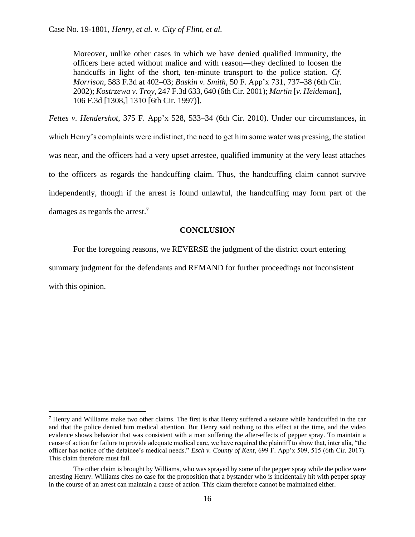Moreover, unlike other cases in which we have denied qualified immunity, the officers here acted without malice and with reason—they declined to loosen the handcuffs in light of the short, ten-minute transport to the police station. *Cf. Morrison*, 583 F.3d at 402–03; *Baskin v. Smith*, 50 F. App'x 731, 737–38 (6th Cir. 2002); *Kostrzewa v. Troy*, 247 F.3d 633, 640 (6th Cir. 2001); *Martin* [*v. Heideman*], 106 F.3d [1308,] 1310 [6th Cir. 1997)].

*Fettes v. Hendershot*, 375 F. App'x 528, 533–34 (6th Cir. 2010). Under our circumstances, in which Henry's complaints were indistinct, the need to get him some water was pressing, the station was near, and the officers had a very upset arrestee, qualified immunity at the very least attaches to the officers as regards the handcuffing claim. Thus, the handcuffing claim cannot survive independently, though if the arrest is found unlawful, the handcuffing may form part of the damages as regards the arrest.<sup>7</sup>

## **CONCLUSION**

For the foregoing reasons, we REVERSE the judgment of the district court entering

summary judgment for the defendants and REMAND for further proceedings not inconsistent with this opinion.

 $<sup>7</sup>$  Henry and Williams make two other claims. The first is that Henry suffered a seizure while handcuffed in the car</sup> and that the police denied him medical attention. But Henry said nothing to this effect at the time, and the video evidence shows behavior that was consistent with a man suffering the after-effects of pepper spray. To maintain a cause of action for failure to provide adequate medical care, we have required the plaintiff to show that, inter alia, "the officer has notice of the detainee's medical needs." *Esch v. County of Kent*, 699 F. App'x 509, 515 (6th Cir. 2017). This claim therefore must fail.

The other claim is brought by Williams, who was sprayed by some of the pepper spray while the police were arresting Henry. Williams cites no case for the proposition that a bystander who is incidentally hit with pepper spray in the course of an arrest can maintain a cause of action. This claim therefore cannot be maintained either.